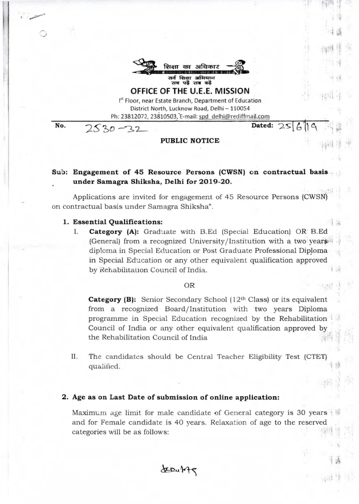

**OFFICE OF THE U.E.E. MISSION**  Ist Floor, near Estate Branch, Department of Education District North, Lucknow Road, Delhi — 110054

Ph: 23812072, 23810503, E-mail: spd delhi@rediffmail.com

Dated:

**No.** 

# **PUBLIC NOTICE**

# **Sub: Engagement of 45 Resource Persons (CWSN) on contractual basis under Samagra Shiksha, Delhi for 2019-20.**

Applications are invited for engagement of 45 Resource Persons (CWSN) on contractual basis under Samagra Shiksha".

### **1. Essential Qualifications:**

 $2530 - 32$ 

**I. Category (A):** Graduate with B.Ed (Special Education) OR B.Ed (General) from a recognized University/Institution with a two years. diploma in Special Education or Post Graduate Professional Diploma in Special Education or any other equivalent qualification approved by Rehabilitation Council of India.

## OR

**Category (B):** Senior Secondary School (12th Class) or its equivalent from a recognized Board/Institution with two years Diploma programme in Special Education recognized by the Rehabilitation Council of India or any other equivalent qualification approved by the Rehabilitation Council of India

II. The candidates should be Central Teacher Eligibility Test (CTET) qualified.

## **2. Age as on Last Date of submission of online application:**

Maximum age limit for male candidate of General category is 30 years and for Female candidate is 40 years. Relaxation of age to the reserved categories will be as follows: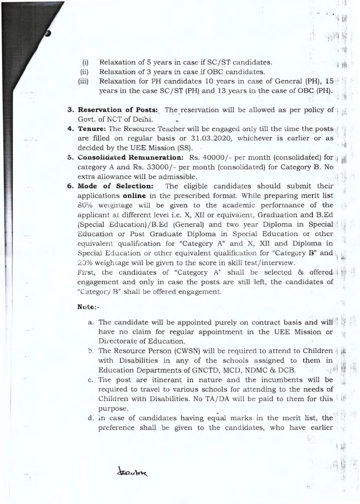- (i) Relaxation of 5 years in case if  $SC/ST$  candidates.
- (ii) Relaxation of 3 years in case if OBC candidates.
- (iii) Relaxation for PH candidates 10 years in case of General (PH), 15 years in the case SC/ST (PH) and 13 years in the case of OBC. (PH).

:

.".

- **3. Reservation of Posts:** The reservation will be allowed as per policy of Govt. of NCT of Delhi.
- **4. Tenure:** The Resource Teacher will be engaged only till the time the posts are filled on regular basis or 31.03.2020, whichever is earlier or as decided by the UEE Mission (SS).
- **5. Consolidated Remuneration:** Rs. 40000/- per month (consolidated) for category A and Rs. 33000/- per month (consolidated) for Category B. No extra allowance will be admissible.
- **6. Mode of Selection:** The eligible candidates should submit their applications **online** in the prescribed format. While preparing merit list 80% welghtage will be given to the academic performance of the applicant **at** different level i.e. X, XII or equivalent, Graduation and B.Ed (Special Education)/B.Ed (General) and two year Diploma in Special Education or Post Graduate Diploma in Special Education or other equivalent qualification for "Category A" and X, XII and Diploma in Special Education or other equivalent qualification for "Category **B**" and 20% weightage will be given to the score in skill test/interview.

First, the candidates of "Category  $A^*$  shall be selected  $\&$  offered-A engagement and only in case the posts are still left, the candidates of "Category B" shall be offered engagement.

### **Note:**

- a. The candidate will be appointed purely on contract basis and will have no claim for regular appointment in the UEE Mission or Directorate of Education.
- b. The Resource Person (CWSN) will be required to attend to Children with Disabilities in any of the schools assigned to them in Education Departments of GNCTD, MCD, NDMC & DCB.
- c. The post are itinerant in nature and the incumbents will be required to travel to various schools for attending to the needs of Children with Disabilities. No TA/DA will be paid to them for this purpose.
- d. in case of candidates having equal marks in the merit list, the preference shall be given to the candidates, who have earlier

terribing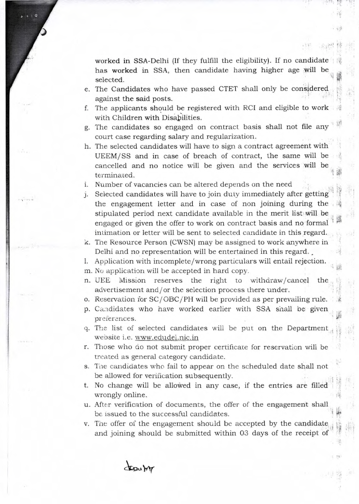worked in SSA-Delhi (If they fulfill the eligibility). If no candidate has worked in SSA, then candidate having higher age will be selected.

- e. The Candidates who have passed CTET shall only be considered against the said posts.
- f. The applicants should be registered with RCI and eligible to work with Children with Disabilities.
- g. The candidates so engaged on contract basis shall not file any court case regarding salary and regularization.
- h. The selected candidates will have to sign a contract agreement with UEEM/SS and in case of breach of contract, the same will be cancelled and no notice will be given and the services will be terminated.

i. Number of vacancies can be altered depends on the need

j. Selected candidates will have to join duty immediately after getting the engagement letter and in case of non joining during the stipulated period next candidate available in the merit list will be engaged or given the offer to work on contract basis and no formal intimation or letter will be sent to selected candidate in this regard.

k. The Resource Person (CWSN) may be assigned to work anywhere in Delhi and no representation will be entertained in this regard.

- I. Application with incomplete/wrong particulars will entail rejection.
- m. No application will be accepted in hard copy.
- n. UEE Mission reserves the right to withdraw/cancel the advertisement and/or the selection process there under.
- o. Reservation for SC/OBC/TH will be provided as per prevailing rule.
- p. Candidates who have worked earlier with SSA shall be given preferences.
- q. The list of selected candidates will be put on the Department website i.e. www.edudel.nic.in<br>r. Those who do not submit proper certificate for reservation will be
- treated as general category candidate.
- s. The candidates who fail to appear on the scheduled date shall not be allowed for verification subsequently.
- t. No change will be allowed in any case, if the entries are filled wrongly online.
- u. After verification of documents, the offer of the engagement shall be issued to the successful candidates.
- v. The offer of the engagement should be accepted by the candidate. and joining should be submitted within 03 days of the receipt of

trauty